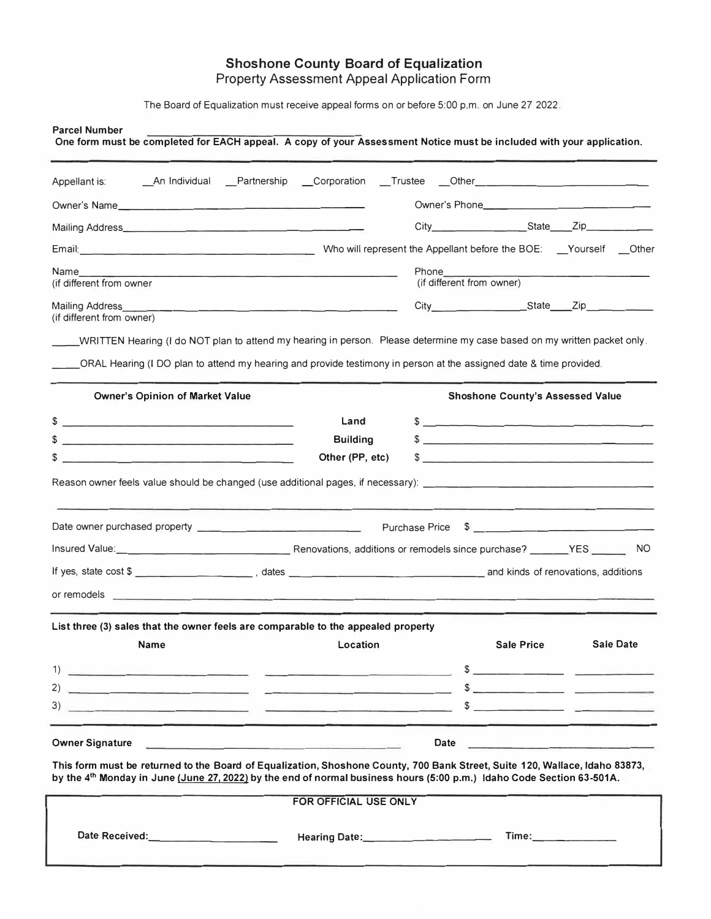#### **Shoshone County Board of Equalization**  Property Assessment Appeal Application Form

The Board of Equalization must receive appeal forms on or before 5:00 p.m. on June 27 2022.

| <b>Parcel Number</b><br>One form must be completed for EACH appeal. A copy of your Assessment Notice must be included with your application.                                                                                                                                                                                   |                                                                                                                                                                                                                                                                                                                        |                       |                                         |                    |
|--------------------------------------------------------------------------------------------------------------------------------------------------------------------------------------------------------------------------------------------------------------------------------------------------------------------------------|------------------------------------------------------------------------------------------------------------------------------------------------------------------------------------------------------------------------------------------------------------------------------------------------------------------------|-----------------------|-----------------------------------------|--------------------|
| Appellant is:                                                                                                                                                                                                                                                                                                                  | _An Individual __Partnership __Corporation __Trustee __Other_____________________                                                                                                                                                                                                                                      |                       |                                         |                    |
| Owner's Name                                                                                                                                                                                                                                                                                                                   |                                                                                                                                                                                                                                                                                                                        |                       |                                         |                    |
|                                                                                                                                                                                                                                                                                                                                |                                                                                                                                                                                                                                                                                                                        |                       |                                         |                    |
| Email: Channel Channel Channel Channel Channel View Who will represent the Appellant before the BOE: Channel Channel Channel Channel Channel Channel Channel Channel Channel Channel Channel Channel Channel Channel Channel C                                                                                                 |                                                                                                                                                                                                                                                                                                                        |                       |                                         |                    |
| Name <b>Name</b><br>(if different from owner                                                                                                                                                                                                                                                                                   | Phone the control of the control of the control of the control of the control of the control of the control of the control of the control of the control of the control of the control of the control of the control of the co<br><u> 1989 - Johann Stein, fransk politiker (d. 1989)</u><br>(if different from owner) |                       |                                         |                    |
| (if different from owner)                                                                                                                                                                                                                                                                                                      |                                                                                                                                                                                                                                                                                                                        |                       |                                         |                    |
| WRITTEN Hearing (I do NOT plan to attend my hearing in person. Please determine my case based on my written packet only.<br>ORAL Hearing (I DO plan to attend my hearing and provide testimony in person at the assigned date & time provided.                                                                                 |                                                                                                                                                                                                                                                                                                                        |                       |                                         |                    |
| <b>Owner's Opinion of Market Value</b>                                                                                                                                                                                                                                                                                         |                                                                                                                                                                                                                                                                                                                        |                       | <b>Shoshone County's Assessed Value</b> |                    |
|                                                                                                                                                                                                                                                                                                                                | Land                                                                                                                                                                                                                                                                                                                   |                       | $\frac{1}{2}$                           |                    |
| \$<br><u> 2000 - Jan James James Jan James James James James James James James James James James James James James James James James James James James James James James James James James James James James James James James James J</u><br>\$<br>the control of the control of the control of the control of the control of | <b>Building</b><br>Other (PP, etc)                                                                                                                                                                                                                                                                                     |                       | $\frac{1}{2}$<br>$\sqrt{2}$             |                    |
|                                                                                                                                                                                                                                                                                                                                |                                                                                                                                                                                                                                                                                                                        | <b>Purchase Price</b> |                                         |                    |
|                                                                                                                                                                                                                                                                                                                                |                                                                                                                                                                                                                                                                                                                        |                       |                                         |                    |
| If yes, state cost \$                                                                                                                                                                                                                                                                                                          |                                                                                                                                                                                                                                                                                                                        |                       |                                         |                    |
| List three (3) sales that the owner feels are comparable to the appealed property                                                                                                                                                                                                                                              |                                                                                                                                                                                                                                                                                                                        |                       |                                         |                    |
| <b>Name</b>                                                                                                                                                                                                                                                                                                                    | Location                                                                                                                                                                                                                                                                                                               |                       | <b>Sale Price</b>                       | <b>Sale Date</b>   |
|                                                                                                                                                                                                                                                                                                                                |                                                                                                                                                                                                                                                                                                                        |                       |                                         |                    |
|                                                                                                                                                                                                                                                                                                                                |                                                                                                                                                                                                                                                                                                                        |                       |                                         |                    |
|                                                                                                                                                                                                                                                                                                                                |                                                                                                                                                                                                                                                                                                                        |                       |                                         |                    |
| <b>Owner Signature</b>                                                                                                                                                                                                                                                                                                         | The company of the company of the company of the company of the company of the company of the company of the company of the company of the company of the company of the company of the company of the company of the company                                                                                          |                       |                                         |                    |
| This form must be returned to the Board of Equalization, Shoshone County, 700 Bank Street, Suite 120, Wallace, Idaho 83873,<br>by the 4th Monday in June (June 27, 2022) by the end of normal business hours (5:00 p.m.) Idaho Code Section 63-501A.                                                                           |                                                                                                                                                                                                                                                                                                                        |                       |                                         |                    |
|                                                                                                                                                                                                                                                                                                                                | FOR OFFICIAL USE ONLY                                                                                                                                                                                                                                                                                                  |                       |                                         |                    |
|                                                                                                                                                                                                                                                                                                                                |                                                                                                                                                                                                                                                                                                                        |                       |                                         | Time: ____________ |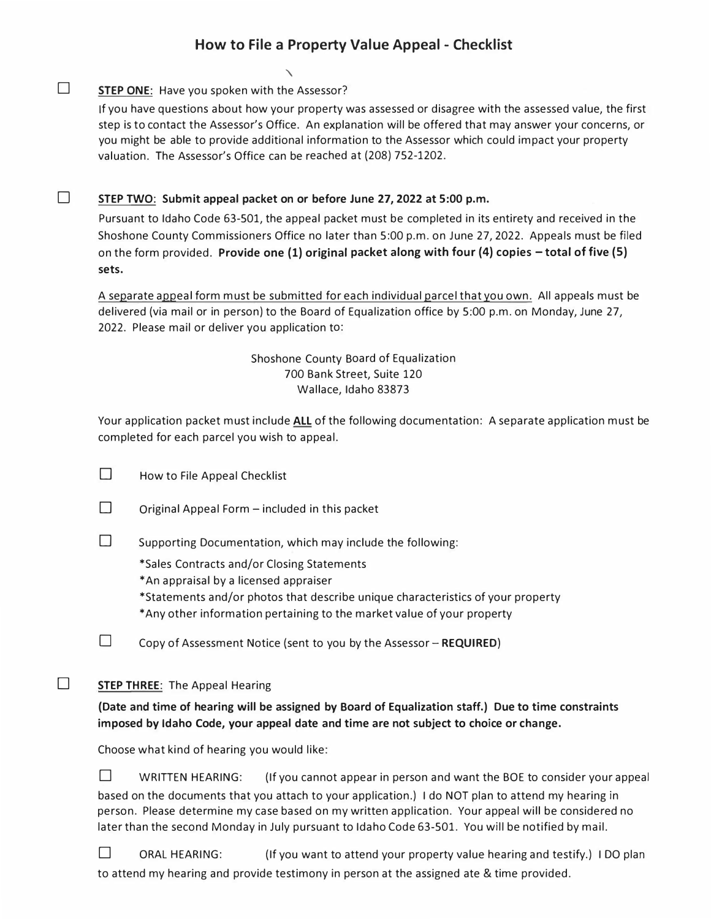# **How to File a Property Value Appeal - Checklist**

### **STEP ONE:** Have you spoken with the Assessor?

□

□

If you have questions about how your property was assessed or disagree with the assessed value, the first step is to contact the Assessor's Office. An explanation will be offered that may answer your concerns, or you might be able to provide additional information to the Assessor which could impact your property valuation. The Assessor's Office can be reached at (208) 752-1202.

#### **STEP TWO: Submit appeal packet on or before June 27, 2022 at 5:00 p.m.**

'\

Pursuant to Idaho Code 63-501, the appeal packet must be completed in its entirety and received in the Shoshone County Commissioners Office no later than 5:00 p.m. on June 27, 2022. Appeals must be filed on the form provided. **Provide one (1) original packet along with four (4) copies** - **total of five (5) sets.** 

A separate appeal form must be submitted for each individual parcel thatyou own. All appeals must be delivered (via mail or in person) to the Board of Equalization office by 5:00 p.m. on Monday, June 27, 2022. Please mail or deliver you application to:

### Shoshone County Board of Equalization 700 Bank Street, Suite 120 Wallace, Idaho 83873

Your application packet must include **ALL** of the following documentation: A separate application must be completed for each parcel you wish to appeal.

 $\Box$  How to File Appeal Checklist

 $\Box$  Original Appeal Form – included in this packet

 $\square$  Supporting Documentation, which may include the following:

\*Sales Contracts and/or Closing Statements

\*An appraisal by a licensed appraiser

\*Statements and/or photos that describe unique characteristics of your property \*Any other information pertaining to the market value of your property

D Copy of Assessment Notice (sent to you by the Assessor - **REQUIRED)** 

## **D** STEP THREE: The Appeal Hearing

## **(Date and time of hearing will be assigned by Board of Equalization staff.) Due to time constraints imposed by Idaho Code, your appeal date and time are not subject to choice or change.**

Choose what kind of hearing you would like:

□ WRITTEN HEARING: (If you cannot appear in person and want the BOE to consider your appeal based on the documents that you attach to your application.) I do NOT plan to attend my hearing in person. Please determine my case based on my written application. Your appeal will be considered no later than the second Monday in July pursuant to Idaho Code 63-501. You will be notified by mail.

 $\square$  ORAL HEARING: (If you want to attend your property value hearing and testify.) I DO plan to attend my hearing and provide testimony in person at the assigned ate & time provided.